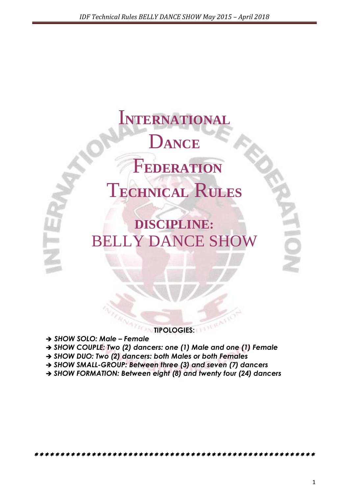I**NTERNATIONAL** D**ANCE** F**EDERATION** T**ECHNICAL** R**ULES**

**DISCIPLINE:** BELLY DANCE SHOW

**TIPOLOGIES:**

- → SHOW SOLO: Male Female
- *SHOW COUPLE: Two (2) dancers: one (1) Male and one (1) Female*
- → SHOW DUO: Two (2) dancers: both Males or both Females
- *SHOW SMALL-GROUP: Between three (3) and seven (7) dancers*
- *SHOW FORMATION: Between eight (8) and twenty four (24) dancers*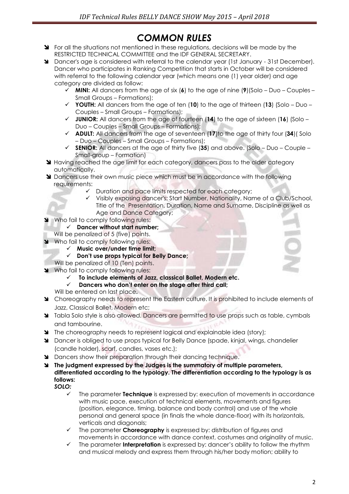# *COMMON RULES*

- State regulations in the situations not mentioned in these requiditions, decisions will be made by the RESTRICTED TECHNICAL COMMITTEE and the IDF GENERAL SECRETARY.
- Dancer's age is considered with referral to the calendar year (1st January 31st December). Dancer who participates in Ranking Competition that starts in October will be considered with referral to the following calendar year (which means one (1) year older) and age category are divided as follow:
	- **MINI:** All dancers from the age of six (**6**) to the age of nine (**9**)(Solo Duo Couples Small Groups – Formations);
	- **YOUTH:** All dancers from the age of ten (**10**) to the age of thirteen (**13**) (Solo Duo Couples – Small Groups – Formations);
	- **JUNIOR:** All dancers from the age of fourteen (**14**) to the age of sixteen (**16**) (Solo Duo – Couples – Small Groups – Formations);
	- **ADULT:** All dancers from the age of seventeen (**17**)to the age of thirty four (**34**)( Solo – Duo – Couples – Small Groups – Formations);
	- **SENIOR:** All dancers at the age of thirty five (**35**) and above. (Solo Duo Couple Small-group – Formation)
- **Having reached the age limit for each category, dancers pass to the older category** automatically.
- **I** Dancers use their own music piece which must be in accordance with the following requirements:
	- $\checkmark$  Duration and pace limits respected for each category;
	- Visibly exposing dancer's: Start Number, Nationality, Name of a Club/School, Title of the Presentation, Duration, Name and Surname, Discipline as well as Age and Dance Category;
- Who fail to comply following rules:
	- **Dancer without start number;**
	- Will be penalized of 5 (five) points.
- Who fail to comply following rules:
	- **Music over/under time limit;**
	- **Don't use props typical for Belly Dance;**
	- Will be penalized of 10 (Ten) points.
- Who fail to comply following rules:
	- **To include elements of Jazz, classical Ballet, Modern etc.**
	- **Dancers who don't enter on the stage after third call;**
	- Will be entered on last place**.**
- Choreography needs to represent the Eastern culture. It is prohibited to include elements of Jazz, Classical Ballet, Modern etc;
- **Y** Tabla Solo style is also allowed. Dancers are permitted to use props such as table, cymbals and tambourine.
- The choreography needs to represent logical and explainable idea (story);
- Dancer is obliged to use props typical for Belly Dance (spade, kinjal, wings, chandelier (candle holder), scarf, candles, vases etc.);
- **M** Dancers show their preparation through their dancing technique.
- **The judgment expressed by the Judges is the summatory of multiple parameters, differentiated according to the typology. The differentiation according to the typology is as follows:** *SOLO:*
	- The parameter **Technique** is expressed by: execution of movements in accordance with music pace, execution of technical elements, movements and figures (position, elegance, timing, balance and body control) and use of the whole personal and general space (in finals the whole dance-floor) with its horizontals, verticals and diagonals;
	- The parameter **Choreography** is expressed by: distribution of figures and movements in accordance with dance context, costumes and originality of music.
	- The parameter **Interpretation** is expressed by: dancer's ability to follow the rhythm and musical melody and express them through his/her body motion; ability to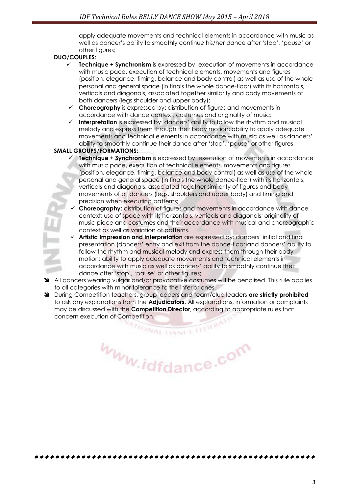apply adequate movements and technical elements in accordance with music as well as dancer's ability to smoothly continue his/her dance after 'stop', 'pause' or other figures;

#### **DUO/COUPLES:**

- **Technique + Synchronism** is expressed by: execution of movements in accordance with music pace, execution of technical elements, movements and figures (position, elegance, timing, balance and body control) as well as use of the whole personal and general space (in finals the whole dance-floor) with its horizontals, verticals and diagonals, associated together similarity and body movements of both dancers (legs shoulder and upper body);
- **Choreography** is expressed by: distribution of figures and movements in accordance with dance context, costumes and originality of music;
- **Interpretation** is expressed by: dancers' ability to follow the rhythm and musical melody and express them through their body motion; ability to apply adequate movements and technical elements in accordance with music as well as dancers' ability to smoothly continue their dance after 'stop', 'pause' or other figures,

#### **SMALL GROUPS/FORMATIONS:**

- **Technique + Synchronism** is expressed by: execution of movements in accordance with music pace, execution of technical elements, movements and figures (position, elegance, timing, balance and body control) as well as use of the whole personal and general space (in finals the whole dance-floor) with its horizontals, verticals and diagonals, associated together similarity of figures and body movements of all dancers (legs, shoulders and upper body) and timing and precision when executing patterns;
- **Choreography:** distribution of figures and movements in accordance with dance context; use of space with its horizontals, verticals and diagonals; originality of music piece and costumes and their accordance with musical and choreographic context as well as variation of patterns.
- **Artistic Impression and Interpretation** are expressed by: dancers' initial and final presentation (dancers' entry and exit from the dance-floor)and dancers' ability to follow the rhythm and musical melody and express them through their body motion; ability to apply adequate movements and technical elements in accordance with music as well as dancers' ability to smoothly continue their dance after 'stop', 'pause' or other figures;
- All dancers wearing vulgar and/or provocative costumes will be penalised. This rule applies to all categories with minor tolerance to the inferior ones.
- During Competition teachers, group leaders and team/club leaders **are strictly prohibited**  to ask any explanations from the **Adjudicators.** All explanations, information or complaints may be discussed with the **Competition Director**, according to appropriate rules that concern execution of Competition.<br>WALL DANGE LITTERA

www.idfdance.com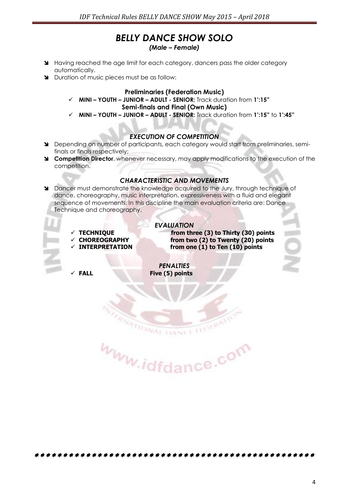# *BELLY DANCE SHOW SOLO*

- *(Male – Female)*
- Having reached the age limit for each category, dancers pass the older category automatically.
- Duration of music pieces must be as follow:

#### **Preliminaries (Federation Music)**

- **MINI – YOUTH – JUNIOR – ADULT - SENIOR:** Track duration from **1':15" Semi-finals and Final (Own Music)**
- **MINI – YOUTH – JUNIOR – ADULT - SENIOR:** Track duration from **1':15"** to **1':45"**

#### *EXECUTION OF COMPETITION*

- Depending on number of participants, each category would start from preliminaries, semifinals or finals respectively;
- **Competition Director**, whenever necessary, may apply modifications to the execution of the competition.

#### *CHARACTERISTIC AND MOVEMENTS*

 Dancer must demonstrate the knowledge acquired to the Jury, through technique of dance, choreography, music interpretation, expressiveness with a fluid and elegant sequence of movements. In this discipline the main evaluation criteria are: Dance Technique and choreography.

*EVALUATION* 

- 
- 
- 

 **TECHNIQUE from three (3) to Thirty (30) points CHOREOGRAPHY from two (2) to Twenty (20) points INTERPRETATION from one (1) to Ten (10) points**

*PENALTIES*  **FALL Five (5) points**

DANCE

www.idfdance.com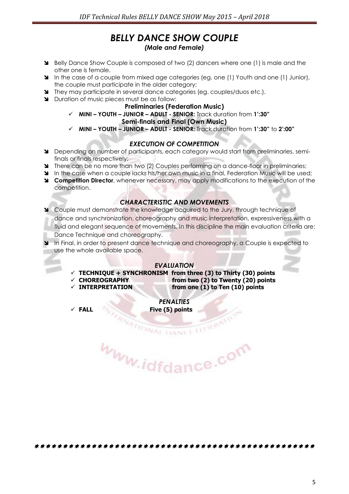# *BELLY DANCE SHOW COUPLE (Male and Female)*

- Belly Dance Show Couple is composed of two (2) dancers where one (1) is male and the other one is female.
- In the case of a couple from mixed age categories (eg. one (1) Youth and one (1) Junior), the couple must participate in the older category;
- They may participate in several dance categories (eg. couples/duos etc.).
- Duration of music pieces must be as follow:

#### **Preliminaries (Federation Music)**

**MINI – YOUTH – JUNIOR – ADULT - SENIOR:** Track duration from **1':30"**

#### **Semi-finals and Final (Own Music)**

**MINI – YOUTH – JUNIOR – ADULT - SENIOR:** Track duration from **1':30"** to **2':00"**

#### *EXECUTION OF COMPETITION*

- Depending on number of participants, each category would start from preliminaries, semifinals or finals respectively;
- **There can be no more than two (2) Couples performing on a dance-floor in preliminaries;**
- In the case when a couple lacks his/her own music in a final, Federation Music will be used:
- **Competition Director**, whenever necessary, may apply modifications to the execution of the competition.

# *CHARACTERISTIC AND MOVEMENTS*

- Couple must demonstrate the knowledge acquired to the Jury, through technique of dance and synchronization, choreography and music interpretation, expressiveness with a fluid and elegant sequence of movements. In this discipline the main evaluation criteria are: Dance Technique and choreography.
- In Final, in order to present dance technique and choreography, a Couple is expected to use the whole available space.

#### *EVALUATION*

- $\checkmark$  TECHNIQUE + SYNCHRONISM from three (3) to Thirty (30) points
- **CHOREOGRAPHY from two (2) to Twenty (20) points**
- 

**INTERPRETATION from one (1) to Ten (10) points**

*PENALTIES*  **FALL Five (5) points**

**RATIONAL DANCE** www.idfdance.com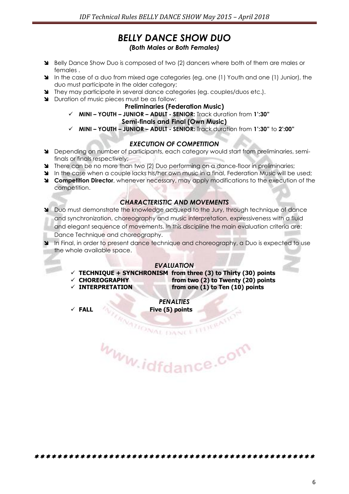# *BELLY DANCE SHOW DUO (Both Males or Both Females)*

- Belly Dance Show Duo is composed of two (2) dancers where both of them are males or females .
- In the case of a duo from mixed age categories (eg. one (1) Youth and one (1) Junior), the duo must participate in the older category;
- They may participate in several dance categories (eg. couples/duos etc.).
- Duration of music pieces must be as follow:

#### **Preliminaries (Federation Music)**

**MINI – YOUTH – JUNIOR – ADULT - SENIOR:** Track duration from **1':30"**

#### **Semi-finals and Final (Own Music)**

**MINI – YOUTH – JUNIOR – ADULT - SENIOR:** Track duration from **1':30"** to **2':00"**

#### *EXECUTION OF COMPETITION*

- Depending on number of participants, each category would start from preliminaries, semifinals or finals respectively;
- There can be no more than two (2) Duo performing on a dance-floor in preliminaries;
- In the case when a couple lacks his/her own music in a final, Federation Music will be used:
- **Competition Director**, whenever necessary, may apply modifications to the execution of the competition.

### *CHARACTERISTIC AND MOVEMENTS*

- Duo must demonstrate the knowledge acquired to the Jury, through technique of dance and synchronization, choreography and music interpretation, expressiveness with a fluid and elegant sequence of movements. In this discipline the main evaluation criteria are: Dance Technique and choreography.
- In Final, in order to present dance technique and choreography, a Duo is expected to use the whole available space.

#### *EVALUATION*

- $\checkmark$  TECHNIQUE + SYNCHRONISM from three (3) to Thirty (30) points
- 
- 

 **CHOREOGRAPHY from two (2) to Twenty (20) points INTERPRETATION from one (1) to Ten (10) points**

*PENALTIES*  **FALL Five (5) points**

**RATIONAL DANCE** www.idfdance.com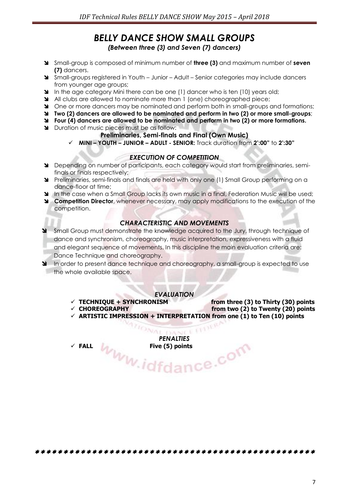# *BELLY DANCE SHOW SMALL GROUPS (Between three (3) and Seven (7) dancers)*

- Small-group is composed of minimum number of **three (3)** and maximum number of **seven (7)** dancers.
- Small-groups registered in Youth Junior Adult Senior categories may include dancers from younger age groups;
- In the age category Mini there can be one (1) dancer who is ten (10) years old;
- All clubs are allowed to nominate more than 1 (one) choreographed piece;
- One or more dancers may be nominated and perform both in small-groups and formations;
- **Two (2) dancers are allowed to be nominated and perform in two (2) or more small-groups**;
- **Four (4) dancers are allowed to be nominated and perform in two (2) or more formations.**
- **N** Duration of music pieces must be as follow:

#### **Preliminaries, Semi-finals and Final (Own Music)**

**MINI – YOUTH – JUNIOR – ADULT - SENIOR:** Track duration from **2':00"** to **2':30"**

#### *EXECUTION OF COMPETITION*

- Depending on number of participants, each category would start from preliminaries, semifinals or finals respectively;
- Preliminaries, semi-finals and finals are held with only one (1) Small Group performing on a dance-floor at time;
- In the case when a Small Group lacks its own music in a final, Federation Music will be used;
- **Competition Director**, whenever necessary, may apply modifications to the execution of the competition.

#### *CHARACTERISTIC AND MOVEMENTS*

- Small Group must demonstrate the knowledge acquired to the Jury, through technique of dance and synchronism, choreography, music interpretation, expressiveness with a fluid and elegant sequence of movements. In this discipline the main evaluation criteria are: Dance Technique and choreography.
- In order to present dance technique and choreography, a small-group is expected to use the whole available space.

#### *EVALUATION*

- 
- 
- **TECHNIQUE + SYNCHRONISM from three (3) to Thirty (30) points** from two (2) to Twenty (20) points
- $\checkmark$  ARTISTIC IMPRESSION + INTERPRETATION from one (1) to Ten (10) points

*PENALTIES*  FILL WWW.idfdance.com

VA AIR E